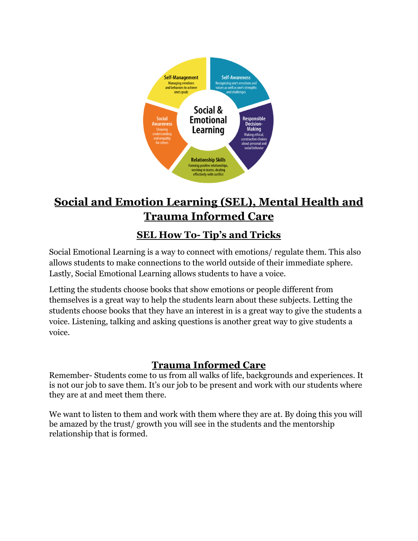

# **Social and Emotion Learning (SEL), Mental Health and Trauma Informed Care**

## **SEL How To- Tip's and Tricks**

Social Emotional Learning is a way to connect with emotions/ regulate them. This also allows students to make connections to the world outside of their immediate sphere. Lastly, Social Emotional Learning allows students to have a voice.

Letting the students choose books that show emotions or people different from themselves is a great way to help the students learn about these subjects. Letting the students choose books that they have an interest in is a great way to give the students a voice. Listening, talking and asking questions is another great way to give students a voice.

## **Trauma Informed Care**

Remember- Students come to us from all walks of life, backgrounds and experiences. It is not our job to save them. It's our job to be present and work with our students where they are at and meet them there.

We want to listen to them and work with them where they are at. By doing this you will be amazed by the trust/ growth you will see in the students and the mentorship relationship that is formed.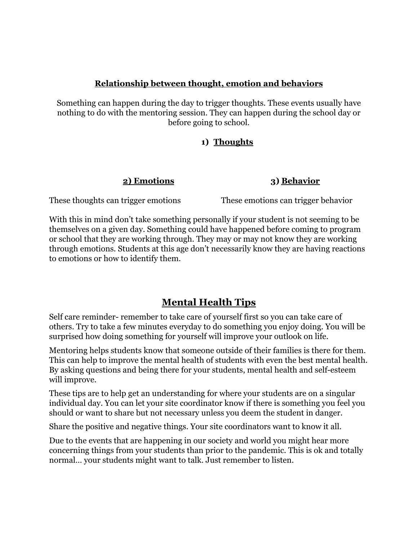#### **Relationship between thought, emotion and behaviors**

Something can happen during the day to trigger thoughts. These events usually have nothing to do with the mentoring session. They can happen during the school day or before going to school.

#### **1) Thoughts**

#### **2) Emotions 3) Behavior**

These thoughts can trigger emotions These emotions can trigger behavior

With this in mind don't take something personally if your student is not seeming to be themselves on a given day. Something could have happened before coming to program or school that they are working through. They may or may not know they are working through emotions. Students at this age don't necessarily know they are having reactions to emotions or how to identify them.

### **Mental Health Tips**

Self care reminder- remember to take care of yourself first so you can take care of others. Try to take a few minutes everyday to do something you enjoy doing. You will be surprised how doing something for yourself will improve your outlook on life.

Mentoring helps students know that someone outside of their families is there for them. This can help to improve the mental health of students with even the best mental health. By asking questions and being there for your students, mental health and self-esteem will improve.

These tips are to help get an understanding for where your students are on a singular individual day. You can let your site coordinator know if there is something you feel you should or want to share but not necessary unless you deem the student in danger.

Share the positive and negative things. Your site coordinators want to know it all.

Due to the events that are happening in our society and world you might hear more concerning things from your students than prior to the pandemic. This is ok and totally normal… your students might want to talk. Just remember to listen.